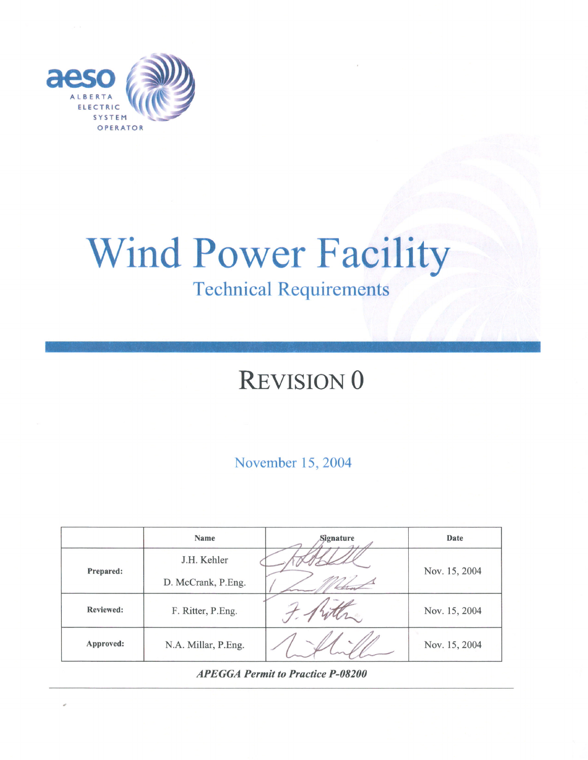

# **Wind Power Facility Technical Requirements**

## **REVISION 0**

November 15, 2004

|                  | <b>Name</b>         | Signature | Date          |
|------------------|---------------------|-----------|---------------|
| <b>Prepared:</b> | J.H. Kehler         |           | Nov. 15, 2004 |
|                  | D. McCrank, P.Eng.  |           |               |
| <b>Reviewed:</b> | F. Ritter, P.Eng.   |           | Nov. 15, 2004 |
| Approved:        | N.A. Millar, P.Eng. |           | Nov. 15, 2004 |

**APEGGA Permit to Practice P-08200**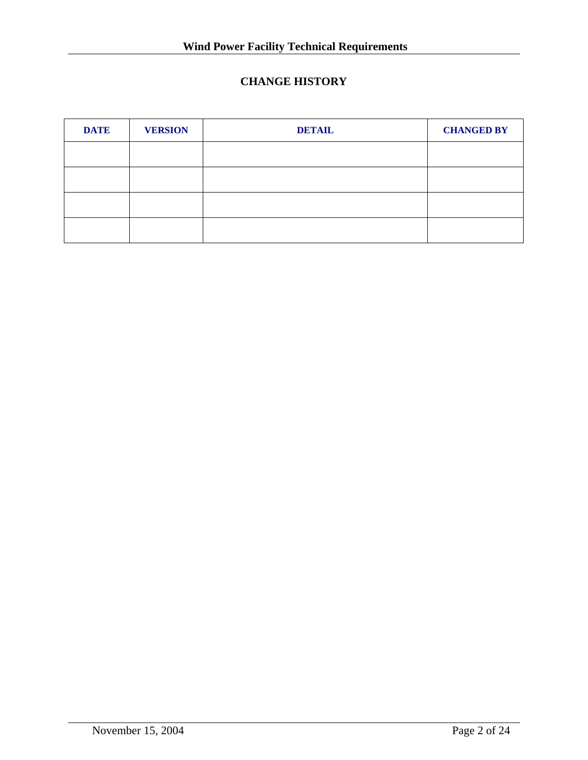## **CHANGE HISTORY**

| <b>DATE</b> | <b>VERSION</b> | <b>DETAIL</b> | <b>CHANGED BY</b> |
|-------------|----------------|---------------|-------------------|
|             |                |               |                   |
|             |                |               |                   |
|             |                |               |                   |
|             |                |               |                   |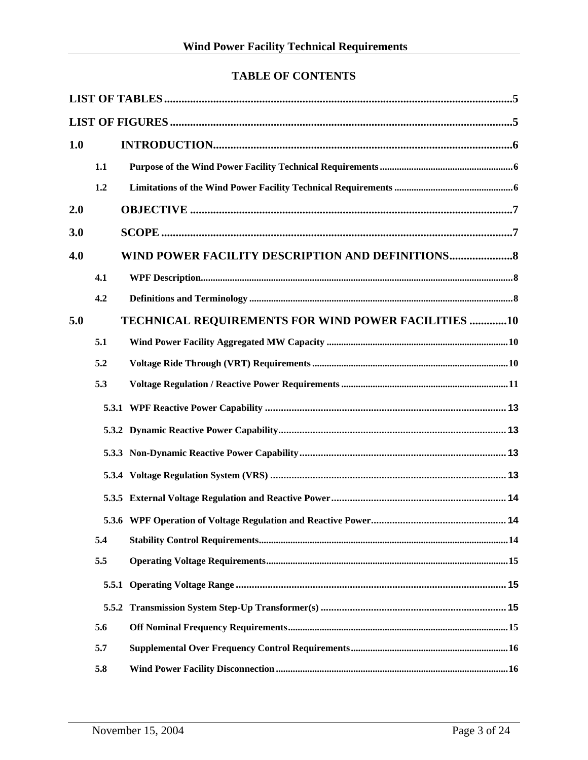## **TABLE OF CONTENTS**

| 1.0 |     |                                                     |
|-----|-----|-----------------------------------------------------|
|     | 1.1 |                                                     |
|     | 1.2 |                                                     |
| 2.0 |     |                                                     |
| 3.0 |     |                                                     |
| 4.0 |     | WIND POWER FACILITY DESCRIPTION AND DEFINITIONS     |
|     | 4.1 |                                                     |
|     | 4.2 |                                                     |
| 5.0 |     | TECHNICAL REQUIREMENTS FOR WIND POWER FACILITIES 10 |
|     | 5.1 |                                                     |
|     | 5.2 |                                                     |
|     | 5.3 |                                                     |
|     |     |                                                     |
|     |     |                                                     |
|     |     |                                                     |
|     |     |                                                     |
|     |     |                                                     |
|     |     | .14                                                 |
|     | 5.4 |                                                     |
|     | 5.5 |                                                     |
|     |     |                                                     |
|     |     |                                                     |
|     | 5.6 |                                                     |
|     | 5.7 |                                                     |
|     | 5.8 |                                                     |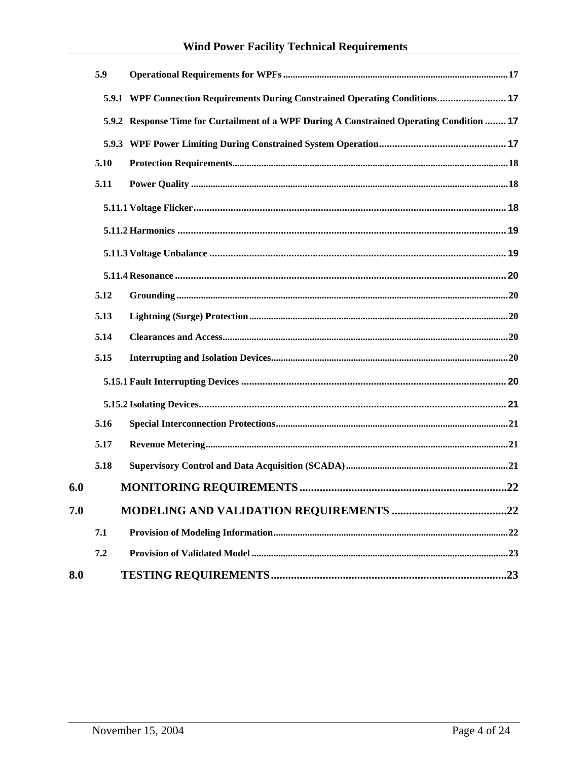## **Wind Power Facility Technical Requirements**

|     | 5.9  |                                                                                           |  |
|-----|------|-------------------------------------------------------------------------------------------|--|
|     |      | 5.9.1 WPF Connection Requirements During Constrained Operating Conditions 17              |  |
|     |      | 5.9.2 Response Time for Curtailment of a WPF During A Constrained Operating Condition  17 |  |
|     |      |                                                                                           |  |
|     | 5.10 |                                                                                           |  |
|     | 5.11 |                                                                                           |  |
|     |      |                                                                                           |  |
|     |      |                                                                                           |  |
|     |      |                                                                                           |  |
|     |      |                                                                                           |  |
|     | 5.12 |                                                                                           |  |
|     | 5.13 |                                                                                           |  |
|     | 5.14 |                                                                                           |  |
|     | 5.15 |                                                                                           |  |
|     |      |                                                                                           |  |
|     |      |                                                                                           |  |
|     | 5.16 |                                                                                           |  |
|     | 5.17 |                                                                                           |  |
|     | 5.18 |                                                                                           |  |
| 6.0 |      |                                                                                           |  |
| 7.0 |      |                                                                                           |  |
|     | 7.1  |                                                                                           |  |
|     | 7.2  |                                                                                           |  |
| 8.0 |      |                                                                                           |  |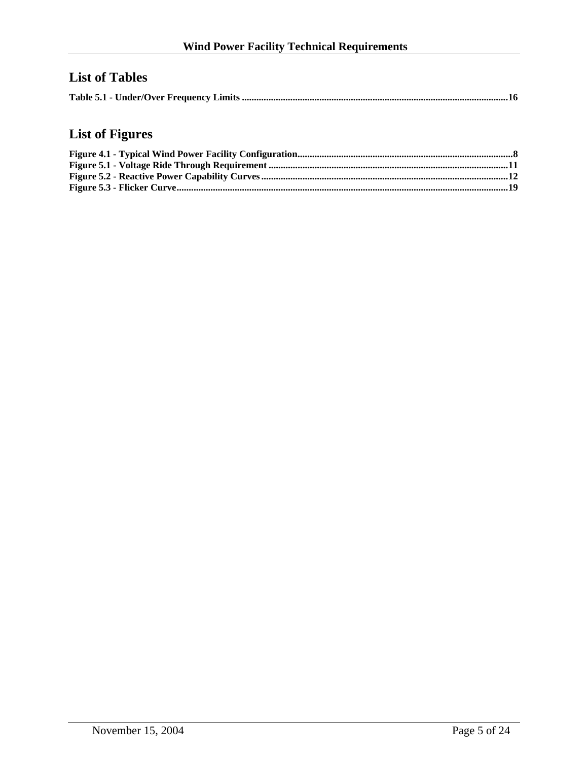## <span id="page-4-0"></span>**List of Tables**

|--|

## **List of Figures**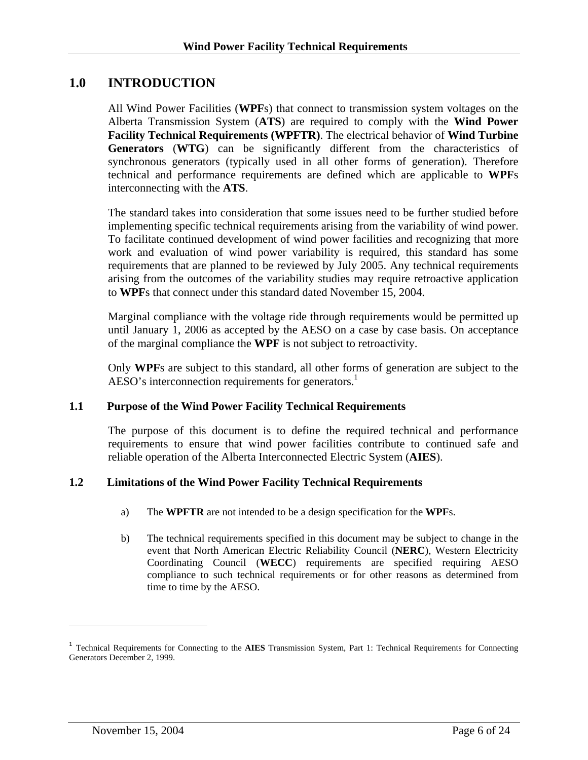## <span id="page-5-0"></span>**1.0 INTRODUCTION**

All Wind Power Facilities (**WPF**s) that connect to transmission system voltages on the Alberta Transmission System (**ATS**) are required to comply with the **Wind Power Facility Technical Requirements (WPFTR)**. The electrical behavior of **Wind Turbine Generators** (**WTG**) can be significantly different from the characteristics of synchronous generators (typically used in all other forms of generation). Therefore technical and performance requirements are defined which are applicable to **WPF**s interconnecting with the **ATS**.

The standard takes into consideration that some issues need to be further studied before implementing specific technical requirements arising from the variability of wind power. To facilitate continued development of wind power facilities and recognizing that more work and evaluation of wind power variability is required, this standard has some requirements that are planned to be reviewed by July 2005. Any technical requirements arising from the outcomes of the variability studies may require retroactive application to **WPF**s that connect under this standard dated November 15, 2004.

Marginal compliance with the voltage ride through requirements would be permitted up until January 1, 2006 as accepted by the AESO on a case by case basis. On acceptance of the marginal compliance the **WPF** is not subject to retroactivity.

Only **WPF**s are subject to this standard, all other forms of generation are subject to the AESO's interconnection requirements for generators.<sup>[1](#page-5-1)</sup>

#### **1.1 Purpose of the Wind Power Facility Technical Requirements**

The purpose of this document is to define the required technical and performance requirements to ensure that wind power facilities contribute to continued safe and reliable operation of the Alberta Interconnected Electric System (**AIES**).

#### **1.2 Limitations of the Wind Power Facility Technical Requirements**

- a) The **WPFTR** are not intended to be a design specification for the **WPF**s.
- b) The technical requirements specified in this document may be subject to change in the event that North American Electric Reliability Council (**NERC**), Western Electricity Coordinating Council (**WECC**) requirements are specified requiring AESO compliance to such technical requirements or for other reasons as determined from time to time by the AESO.

 $\overline{a}$ 

<span id="page-5-1"></span><sup>1</sup> Technical Requirements for Connecting to the **AIES** Transmission System, Part 1: Technical Requirements for Connecting Generators December 2, 1999.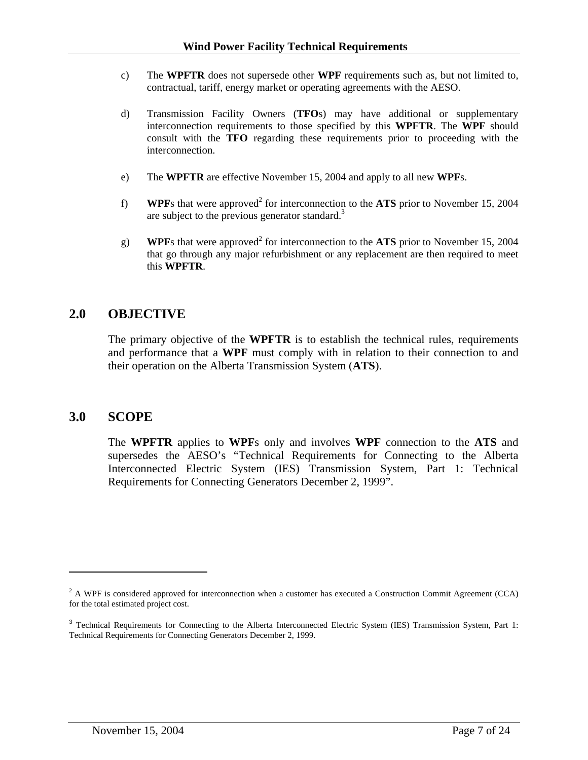- <span id="page-6-0"></span>c) The **WPFTR** does not supersede other **WPF** requirements such as, but not limited to, contractual, tariff, energy market or operating agreements with the AESO.
- d) Transmission Facility Owners (**TFO**s) may have additional or supplementary interconnection requirements to those specified by this **WPFTR**. The **WPF** should consult with the **TFO** regarding these requirements prior to proceeding with the interconnection.
- e) The **WPFTR** are effective November 15, 2004 and apply to all new **WPF**s.
- f) **WPF**s that were approved<sup>[2](#page-6-1)</sup> for interconnection to the ATS prior to November 15, 2004 are subject to the previous generator standard.<sup>3</sup>
- g) **WPF**s that were approved<sup>[2](#page-6-3)</sup> for interconnection to the ATS prior to November 15, 2004 that go through any major refurbishment or any replacement are then required to meet this **WPFTR**.

#### **2.0 OBJECTIVE**

The primary objective of the **WPFTR** is to establish the technical rules, requirements and performance that a **WPF** must comply with in relation to their connection to and their operation on the Alberta Transmission System (**ATS**).

#### **3.0 SCOPE**

 $\overline{a}$ 

The **WPFTR** applies to **WPF**s only and involves **WPF** connection to the **ATS** and supersedes the AESO's "Technical Requirements for Connecting to the Alberta Interconnected Electric System (IES) Transmission System, Part 1: Technical Requirements for Connecting Generators December 2, 1999".

<span id="page-6-1"></span> $^2$  A WPF is considered approved for interconnection when a customer has executed a Construction Commit Agreement (CCA) for the total estimated project cost.

<span id="page-6-3"></span><span id="page-6-2"></span><sup>&</sup>lt;sup>3</sup> Technical Requirements for Connecting to the Alberta Interconnected Electric System (IES) Transmission System, Part 1: Technical Requirements for Connecting Generators December 2, 1999.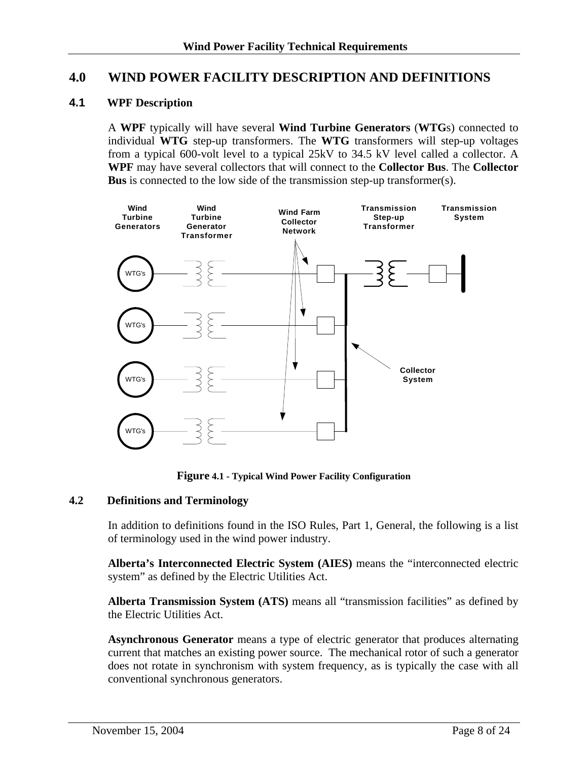#### <span id="page-7-0"></span>**4.0 WIND POWER FACILITY DESCRIPTION AND DEFINITIONS**

#### **4.1 WPF Description**

A **WPF** typically will have several **Wind Turbine Generators** (**WTG**s) connected to individual **WTG** step-up transformers. The **WTG** transformers will step-up voltages from a typical 600-volt level to a typical 25kV to 34.5 kV level called a collector. A **WPF** may have several collectors that will connect to the **Collector Bus**. The **Collector Bus** is connected to the low side of the transmission step-up transformer(s).



**Figure 4.1 - Typical Wind Power Facility Configuration**

#### **4.2 Definitions and Terminology**

In addition to definitions found in the ISO Rules, Part 1, General, the following is a list of terminology used in the wind power industry.

**Alberta's Interconnected Electric System (AIES)** means the "interconnected electric system" as defined by the Electric Utilities Act.

**Alberta Transmission System (ATS)** means all "transmission facilities" as defined by the Electric Utilities Act.

**Asynchronous Generator** means a type of electric generator that produces alternating current that matches an existing power source. The mechanical rotor of such a generator does not rotate in synchronism with system frequency, as is typically the case with all conventional synchronous generators.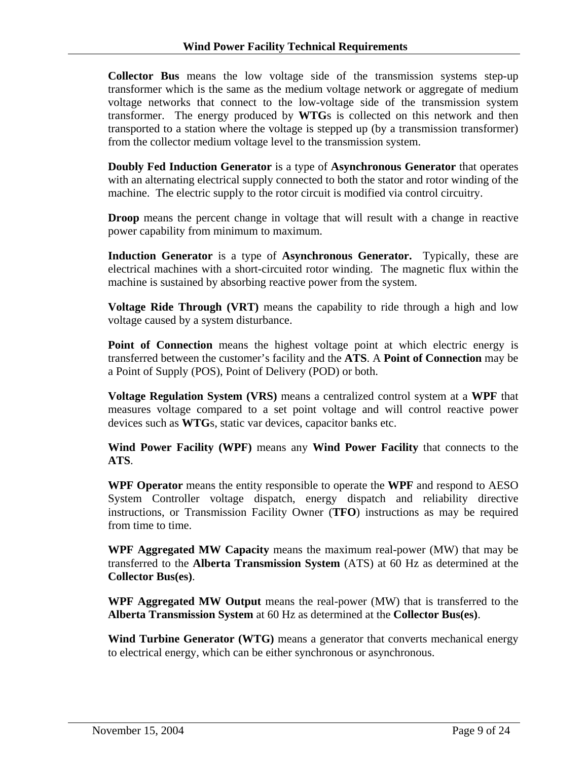**Collector Bus** means the low voltage side of the transmission systems step-up transformer which is the same as the medium voltage network or aggregate of medium voltage networks that connect to the low-voltage side of the transmission system transformer. The energy produced by **WTG**s is collected on this network and then transported to a station where the voltage is stepped up (by a transmission transformer) from the collector medium voltage level to the transmission system.

**Doubly Fed Induction Generator** is a type of **Asynchronous Generator** that operates with an alternating electrical supply connected to both the stator and rotor winding of the machine. The electric supply to the rotor circuit is modified via control circuitry.

**Droop** means the percent change in voltage that will result with a change in reactive power capability from minimum to maximum.

**Induction Generator** is a type of **Asynchronous Generator.** Typically, these are electrical machines with a short-circuited rotor winding. The magnetic flux within the machine is sustained by absorbing reactive power from the system.

**Voltage Ride Through (VRT)** means the capability to ride through a high and low voltage caused by a system disturbance.

**Point of Connection** means the highest voltage point at which electric energy is transferred between the customer's facility and the **ATS**. A **Point of Connection** may be a Point of Supply (POS), Point of Delivery (POD) or both.

**Voltage Regulation System (VRS)** means a centralized control system at a **WPF** that measures voltage compared to a set point voltage and will control reactive power devices such as **WTG**s, static var devices, capacitor banks etc.

**Wind Power Facility (WPF)** means any **Wind Power Facility** that connects to the **ATS**.

**WPF Operator** means the entity responsible to operate the **WPF** and respond to AESO System Controller voltage dispatch, energy dispatch and reliability directive instructions, or Transmission Facility Owner (**TFO**) instructions as may be required from time to time.

**WPF Aggregated MW Capacity** means the maximum real-power (MW) that may be transferred to the **Alberta Transmission System** (ATS) at 60 Hz as determined at the **Collector Bus(es)**.

**WPF Aggregated MW Output** means the real-power (MW) that is transferred to the **Alberta Transmission System** at 60 Hz as determined at the **Collector Bus(es)**.

**Wind Turbine Generator (WTG)** means a generator that converts mechanical energy to electrical energy, which can be either synchronous or asynchronous.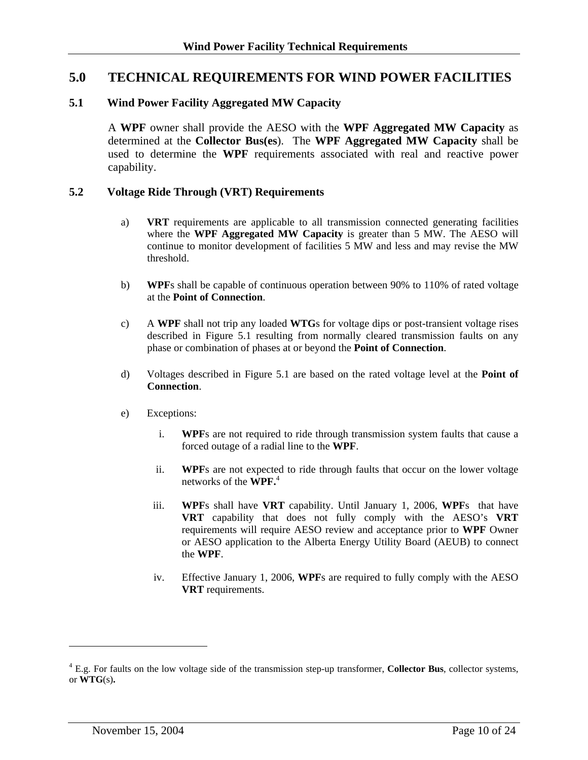#### <span id="page-9-0"></span>**5.0 TECHNICAL REQUIREMENTS FOR WIND POWER FACILITIES**

#### **5.1 Wind Power Facility Aggregated MW Capacity**

A **WPF** owner shall provide the AESO with the **WPF Aggregated MW Capacity** as determined at the **Collector Bus(es**). The **WPF Aggregated MW Capacity** shall be used to determine the **WPF** requirements associated with real and reactive power capability.

#### **5.2 Voltage Ride Through (VRT) Requirements**

- a) **VRT** requirements are applicable to all transmission connected generating facilities where the **WPF Aggregated MW Capacity** is greater than 5 MW. The AESO will continue to monitor development of facilities 5 MW and less and may revise the MW threshold.
- b) **WPF**s shall be capable of continuous operation between 90% to 110% of rated voltage at the **Point of Connection**.
- c) A **WPF** shall not trip any loaded **WTG**s for voltage dips or post-transient voltage rises described in Figure 5.1 resulting from normally cleared transmission faults on any phase or combination of phases at or beyond the **Point of Connection**.
- d) Voltages described in Figure 5.1 are based on the rated voltage level at the **Point of Connection**.
- e) Exceptions:
	- i. **WPF**s are not required to ride through transmission system faults that cause a forced outage of a radial line to the **WPF**.
	- ii. **WPF**s are not expected to ride through faults that occur on the lower voltage networks of the **WPF[.](#page-9-1)**<sup>4</sup>
	- iii. **WPF**s shall have **VRT** capability. Until January 1, 2006, **WPF**s that have **VRT** capability that does not fully comply with the AESO's **VRT** requirements will require AESO review and acceptance prior to **WPF** Owner or AESO application to the Alberta Energy Utility Board (AEUB) to connect the **WPF**.
	- iv. Effective January 1, 2006, **WPF**s are required to fully comply with the AESO **VRT** requirements.

 $\overline{a}$ 

<span id="page-9-1"></span><sup>4</sup> E.g. For faults on the low voltage side of the transmission step-up transformer, **Collector Bus**, collector systems, or **WTG**(s)**.**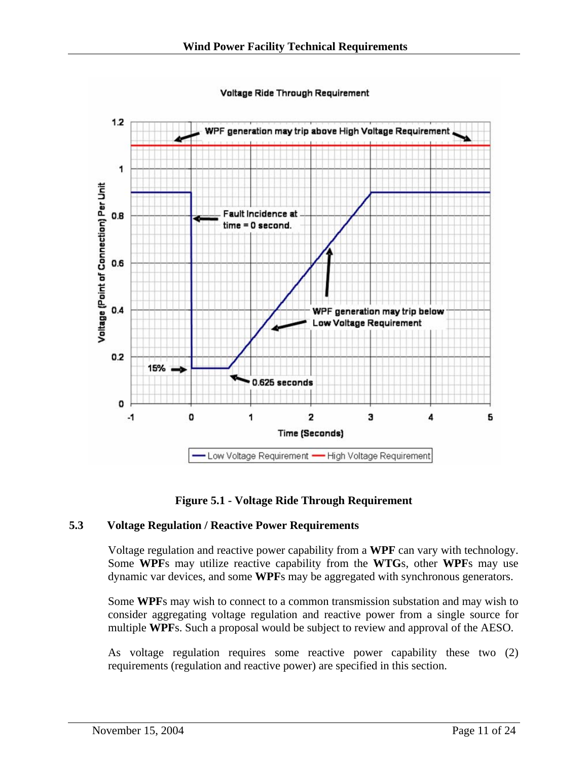Voltage Ride Through Requirement

<span id="page-10-0"></span>

**Figure 5.1 - Voltage Ride Through Requirement** 

#### **5.3 Voltage Regulation / Reactive Power Requirements**

Voltage regulation and reactive power capability from a **WPF** can vary with technology. Some **WPF**s may utilize reactive capability from the **WTG**s, other **WPF**s may use dynamic var devices, and some **WPF**s may be aggregated with synchronous generators.

Some **WPF**s may wish to connect to a common transmission substation and may wish to consider aggregating voltage regulation and reactive power from a single source for multiple **WPF**s. Such a proposal would be subject to review and approval of the AESO.

As voltage regulation requires some reactive power capability these two (2) requirements (regulation and reactive power) are specified in this section.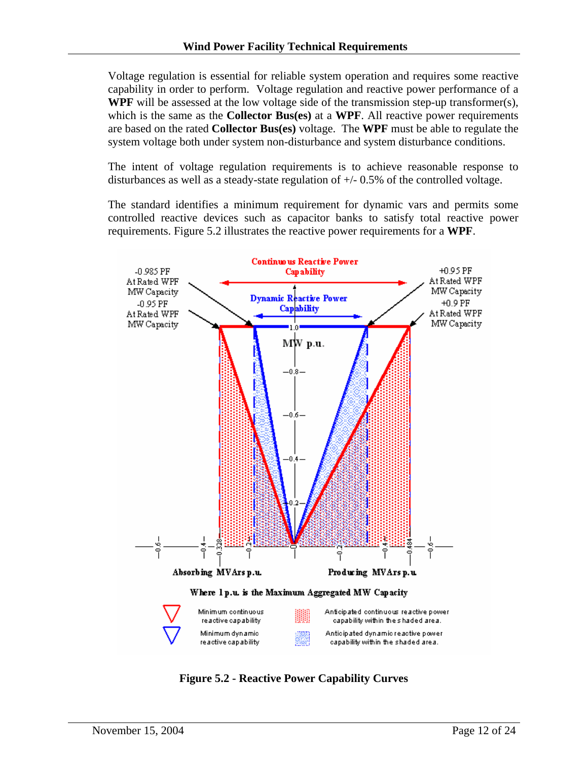<span id="page-11-0"></span>Voltage regulation is essential for reliable system operation and requires some reactive capability in order to perform. Voltage regulation and reactive power performance of a **WPF** will be assessed at the low voltage side of the transmission step-up transformer(s), which is the same as the **Collector Bus(es)** at a **WPF**. All reactive power requirements are based on the rated **Collector Bus(es)** voltage. The **WPF** must be able to regulate the system voltage both under system non-disturbance and system disturbance conditions.

The intent of voltage regulation requirements is to achieve reasonable response to disturbances as well as a steady-state regulation of +/- 0.5% of the controlled voltage.

The standard identifies a minimum requirement for dynamic vars and permits some controlled reactive devices such as capacitor banks to satisfy total reactive power requirements. Figure 5.2 illustrates the reactive power requirements for a **WPF**.



**Figure 5.2 - Reactive Power Capability Curves**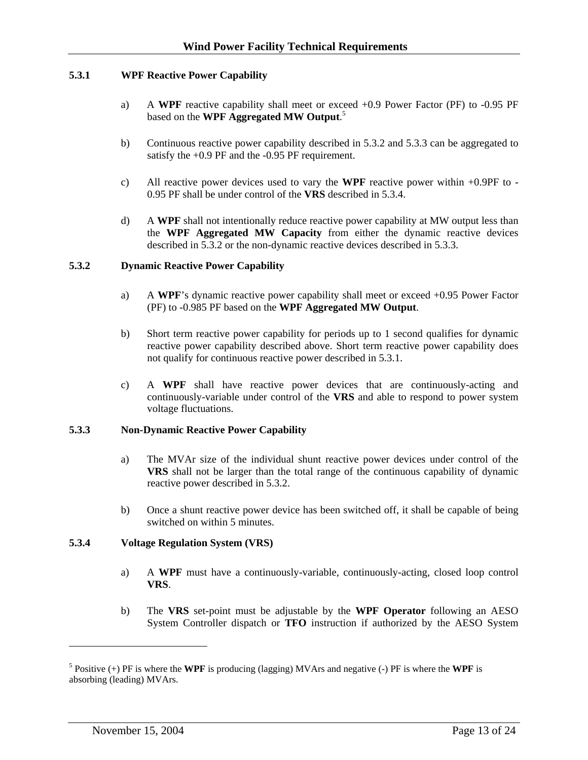#### <span id="page-12-0"></span>**5.3.1 WPF Reactive Power Capability**

- a) A **WPF** reactive capability shall meet or exceed +0.9 Power Factor (PF) to -0.95 PF based on the **WPF Aggregated MW Output**. 5
- b) Continuous reactive power capability described in 5.3.2 and 5.3.3 can be aggregated to satisfy the +0.9 PF and the -0.95 PF requirement.
- c) All reactive power devices used to vary the **WPF** reactive power within +0.9PF to 0.95 PF shall be under control of the **VRS** described in 5.3.4.
- d) A **WPF** shall not intentionally reduce reactive power capability at MW output less than the **WPF Aggregated MW Capacity** from either the dynamic reactive devices described in 5.3.2 or the non-dynamic reactive devices described in 5.3.3.

#### **5.3.2 Dynamic Reactive Power Capability**

- a) A **WPF**'s dynamic reactive power capability shall meet or exceed +0.95 Power Factor (PF) to -0.985 PF based on the **WPF Aggregated MW Output**.
- b) Short term reactive power capability for periods up to 1 second qualifies for dynamic reactive power capability described above. Short term reactive power capability does not qualify for continuous reactive power described in 5.3.1.
- c) A **WPF** shall have reactive power devices that are continuously-acting and continuously-variable under control of the **VRS** and able to respond to power system voltage fluctuations.

#### **5.3.3 Non-Dynamic Reactive Power Capability**

- a) The MVAr size of the individual shunt reactive power devices under control of the **VRS** shall not be larger than the total range of the continuous capability of dynamic reactive power described in 5.3.2.
- b) Once a shunt reactive power device has been switched off, it shall be capable of being switched on within 5 minutes.

#### **5.3.4 Voltage Regulation System (VRS)**

- a) A **WPF** must have a continuously-variable, continuously-acting, closed loop control **VRS**.
- b) The **VRS** set-point must be adjustable by the **WPF Operator** following an AESO System Controller dispatch or **TFO** instruction if authorized by the AESO System

 $\overline{a}$ 

 $^5$  Positive (+) PF is where the **WPF** is producing (lagging) MVArs and negative (-) PF is where the **WPF** is absorbing (leading) MVArs.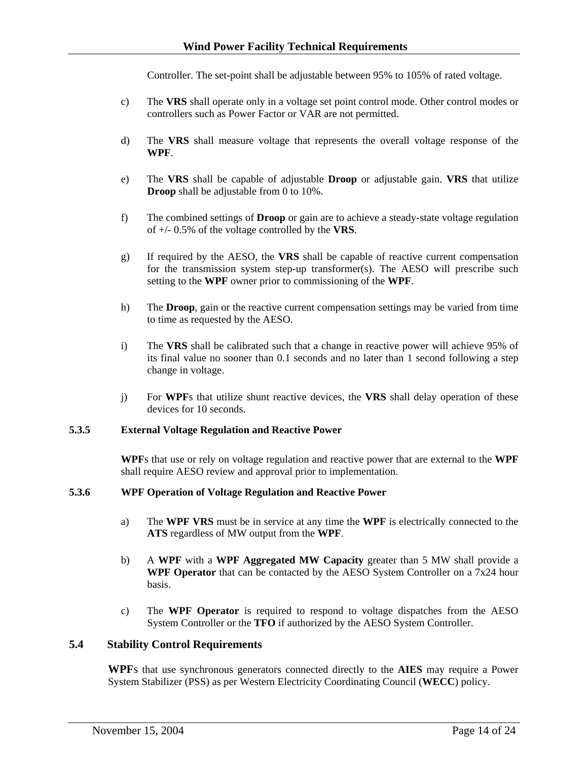Controller. The set-point shall be adjustable between 95% to 105% of rated voltage.

- <span id="page-13-0"></span>c) The **VRS** shall operate only in a voltage set point control mode. Other control modes or controllers such as Power Factor or VAR are not permitted.
- d) The **VRS** shall measure voltage that represents the overall voltage response of the **WPF**.
- e) The **VRS** shall be capable of adjustable **Droop** or adjustable gain. **VRS** that utilize **Droop** shall be adjustable from 0 to 10%.
- f) The combined settings of **Droop** or gain are to achieve a steady-state voltage regulation of +/- 0.5% of the voltage controlled by the **VRS**.
- g) If required by the AESO, the **VRS** shall be capable of reactive current compensation for the transmission system step-up transformer(s). The AESO will prescribe such setting to the **WPF** owner prior to commissioning of the **WPF**.
- h) The **Droop**, gain or the reactive current compensation settings may be varied from time to time as requested by the AESO.
- i) The **VRS** shall be calibrated such that a change in reactive power will achieve 95% of its final value no sooner than 0.1 seconds and no later than 1 second following a step change in voltage.
- j) For **WPF**s that utilize shunt reactive devices, the **VRS** shall delay operation of these devices for 10 seconds.

#### **5.3.5 External Voltage Regulation and Reactive Power**

**WPF**s that use or rely on voltage regulation and reactive power that are external to the **WPF** shall require AESO review and approval prior to implementation.

#### **5.3.6 WPF Operation of Voltage Regulation and Reactive Power**

- a) The **WPF VRS** must be in service at any time the **WPF** is electrically connected to the **ATS** regardless of MW output from the **WPF**.
- b) A **WPF** with a **WPF Aggregated MW Capacity** greater than 5 MW shall provide a **WPF Operator** that can be contacted by the AESO System Controller on a 7x24 hour basis.
- c) The **WPF Operator** is required to respond to voltage dispatches from the AESO System Controller or the **TFO** if authorized by the AESO System Controller.

#### **5.4 Stability Control Requirements**

**WPF**s that use synchronous generators connected directly to the **AIES** may require a Power System Stabilizer (PSS) as per Western Electricity Coordinating Council (**WECC**) policy.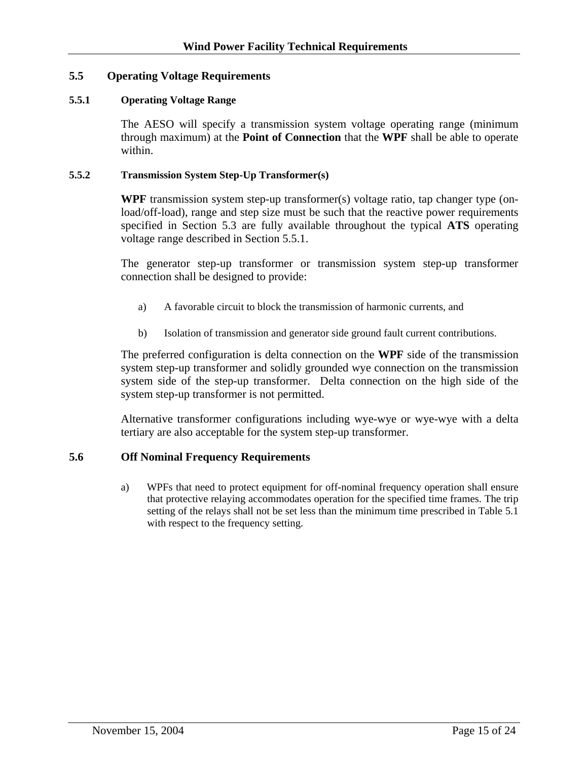#### <span id="page-14-0"></span>**5.5 Operating Voltage Requirements**

#### **5.5.1 Operating Voltage Range**

The AESO will specify a transmission system voltage operating range (minimum through maximum) at the **Point of Connection** that the **WPF** shall be able to operate within.

#### **5.5.2 Transmission System Step-Up Transformer(s)**

**WPF** transmission system step-up transformer(s) voltage ratio, tap changer type (onload/off-load), range and step size must be such that the reactive power requirements specified in Section 5.3 are fully available throughout the typical **ATS** operating voltage range described in Section 5.5.1.

The generator step-up transformer or transmission system step-up transformer connection shall be designed to provide:

- a) A favorable circuit to block the transmission of harmonic currents, and
- b) Isolation of transmission and generator side ground fault current contributions.

The preferred configuration is delta connection on the **WPF** side of the transmission system step-up transformer and solidly grounded wye connection on the transmission system side of the step-up transformer. Delta connection on the high side of the system step-up transformer is not permitted.

Alternative transformer configurations including wye-wye or wye-wye with a delta tertiary are also acceptable for the system step-up transformer.

#### **5.6 Off Nominal Frequency Requirements**

a) WPFs that need to protect equipment for off-nominal frequency operation shall ensure that protective relaying accommodates operation for the specified time frames. The trip setting of the relays shall not be set less than the minimum time prescribed in Table 5.1 with respect to the frequency setting.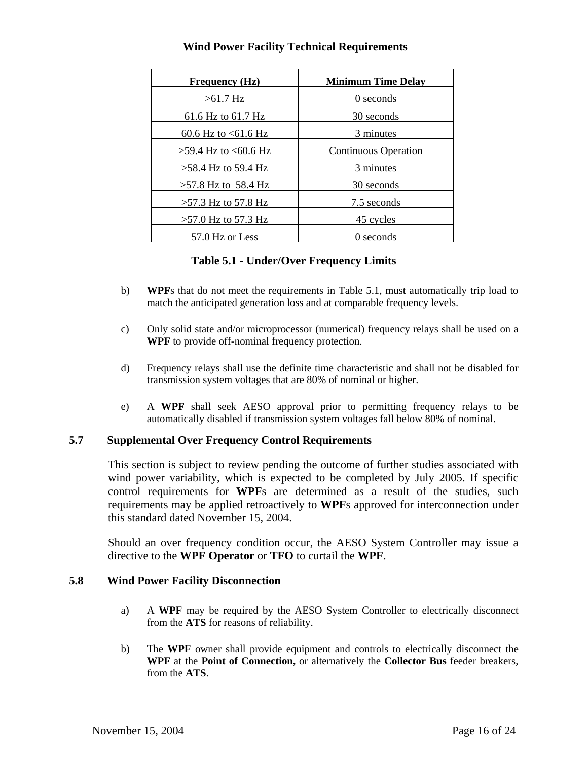<span id="page-15-0"></span>

| <b>Frequency (Hz)</b>  | <b>Minimum Time Delay</b>   |
|------------------------|-----------------------------|
| $>61.7$ Hz             | $\Omega$ seconds            |
| 61.6 Hz to 61.7 Hz     | 30 seconds                  |
| 60.6 Hz to $< 61.6$ Hz | 3 minutes                   |
| $>59.4$ Hz to <60.6 Hz | <b>Continuous Operation</b> |
| $>58.4$ Hz to 59.4 Hz  | 3 minutes                   |
| $>57.8$ Hz to 58.4 Hz  | 30 seconds                  |
| $>57.3$ Hz to 57.8 Hz  | 7.5 seconds                 |
| $>57.0$ Hz to 57.3 Hz  | 45 cycles                   |
| 57.0 Hz or Less        | 0 seconds                   |

#### **Table 5.1 - Under/Over Frequency Limits**

- b) **WPF**s that do not meet the requirements in Table 5.1, must automatically trip load to match the anticipated generation loss and at comparable frequency levels.
- c) Only solid state and/or microprocessor (numerical) frequency relays shall be used on a **WPF** to provide off-nominal frequency protection.
- d) Frequency relays shall use the definite time characteristic and shall not be disabled for transmission system voltages that are 80% of nominal or higher.
- e) A **WPF** shall seek AESO approval prior to permitting frequency relays to be automatically disabled if transmission system voltages fall below 80% of nominal.

#### **5.7 Supplemental Over Frequency Control Requirements**

This section is subject to review pending the outcome of further studies associated with wind power variability, which is expected to be completed by July 2005. If specific control requirements for **WPF**s are determined as a result of the studies, such requirements may be applied retroactively to **WPF**s approved for interconnection under this standard dated November 15, 2004.

Should an over frequency condition occur, the AESO System Controller may issue a directive to the **WPF Operator** or **TFO** to curtail the **WPF**.

#### **5.8 Wind Power Facility Disconnection**

- a) A **WPF** may be required by the AESO System Controller to electrically disconnect from the **ATS** for reasons of reliability.
- b) The **WPF** owner shall provide equipment and controls to electrically disconnect the **WPF** at the **Point of Connection,** or alternatively the **Collector Bus** feeder breakers, from the **ATS**.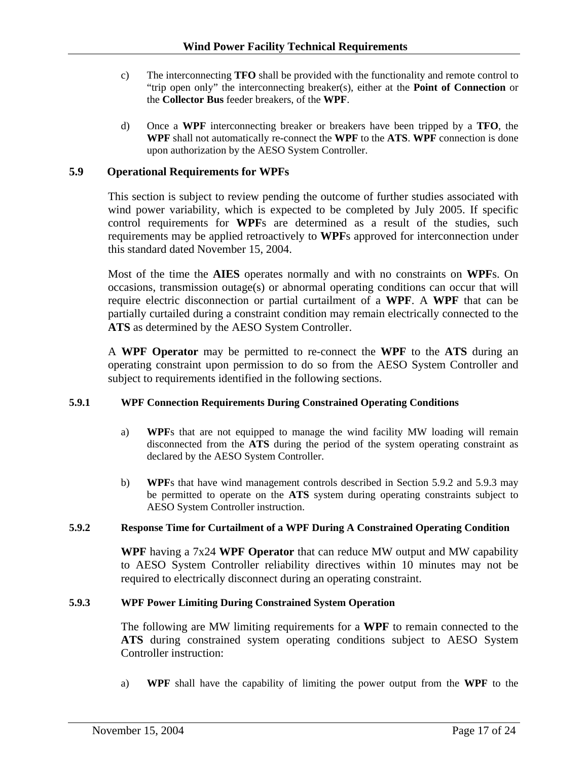- <span id="page-16-0"></span>c) The interconnecting **TFO** shall be provided with the functionality and remote control to "trip open only" the interconnecting breaker(s), either at the **Point of Connection** or the **Collector Bus** feeder breakers, of the **WPF**.
- d) Once a **WPF** interconnecting breaker or breakers have been tripped by a **TFO**, the **WPF** shall not automatically re-connect the **WPF** to the **ATS**. **WPF** connection is done upon authorization by the AESO System Controller.

#### **5.9 Operational Requirements for WPFs**

This section is subject to review pending the outcome of further studies associated with wind power variability, which is expected to be completed by July 2005. If specific control requirements for **WPF**s are determined as a result of the studies, such requirements may be applied retroactively to **WPF**s approved for interconnection under this standard dated November 15, 2004.

Most of the time the **AIES** operates normally and with no constraints on **WPF**s. On occasions, transmission outage(s) or abnormal operating conditions can occur that will require electric disconnection or partial curtailment of a **WPF**. A **WPF** that can be partially curtailed during a constraint condition may remain electrically connected to the **ATS** as determined by the AESO System Controller.

A **WPF Operator** may be permitted to re-connect the **WPF** to the **ATS** during an operating constraint upon permission to do so from the AESO System Controller and subject to requirements identified in the following sections.

#### **5.9.1 WPF Connection Requirements During Constrained Operating Conditions**

- a) **WPF**s that are not equipped to manage the wind facility MW loading will remain disconnected from the **ATS** during the period of the system operating constraint as declared by the AESO System Controller.
- b) **WPF**s that have wind management controls described in Section 5.9.2 and 5.9.3 may be permitted to operate on the **ATS** system during operating constraints subject to AESO System Controller instruction.

#### **5.9.2 Response Time for Curtailment of a WPF During A Constrained Operating Condition**

**WPF** having a 7x24 **WPF Operator** that can reduce MW output and MW capability to AESO System Controller reliability directives within 10 minutes may not be required to electrically disconnect during an operating constraint.

#### **5.9.3 WPF Power Limiting During Constrained System Operation**

The following are MW limiting requirements for a **WPF** to remain connected to the **ATS** during constrained system operating conditions subject to AESO System Controller instruction:

a) **WPF** shall have the capability of limiting the power output from the **WPF** to the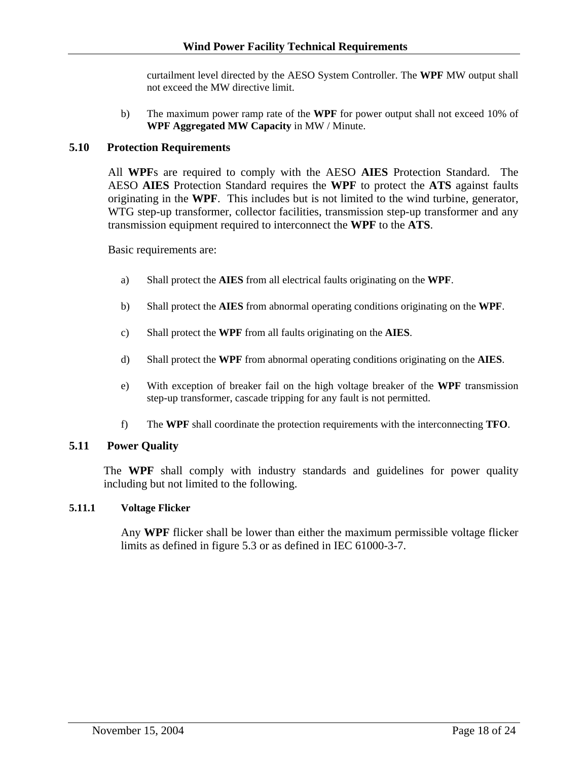curtailment level directed by the AESO System Controller. The **WPF** MW output shall not exceed the MW directive limit.

b) The maximum power ramp rate of the **WPF** for power output shall not exceed 10% of **WPF Aggregated MW Capacity** in MW / Minute.

#### <span id="page-17-0"></span>**5.10 Protection Requirements**

All **WPF**s are required to comply with the AESO **AIES** Protection Standard. The AESO **AIES** Protection Standard requires the **WPF** to protect the **ATS** against faults originating in the **WPF**. This includes but is not limited to the wind turbine, generator, WTG step-up transformer, collector facilities, transmission step-up transformer and any transmission equipment required to interconnect the **WPF** to the **ATS**.

Basic requirements are:

- a) Shall protect the **AIES** from all electrical faults originating on the **WPF**.
- b) Shall protect the **AIES** from abnormal operating conditions originating on the **WPF**.
- c) Shall protect the **WPF** from all faults originating on the **AIES**.
- d) Shall protect the **WPF** from abnormal operating conditions originating on the **AIES**.
- e) With exception of breaker fail on the high voltage breaker of the **WPF** transmission step-up transformer, cascade tripping for any fault is not permitted.
- f) The **WPF** shall coordinate the protection requirements with the interconnecting **TFO**.

#### **5.11 Power Quality**

The **WPF** shall comply with industry standards and guidelines for power quality including but not limited to the following.

#### **5.11.1 Voltage Flicker**

Any **WPF** flicker shall be lower than either the maximum permissible voltage flicker limits as defined in figure 5.3 or as defined in IEC 61000-3-7.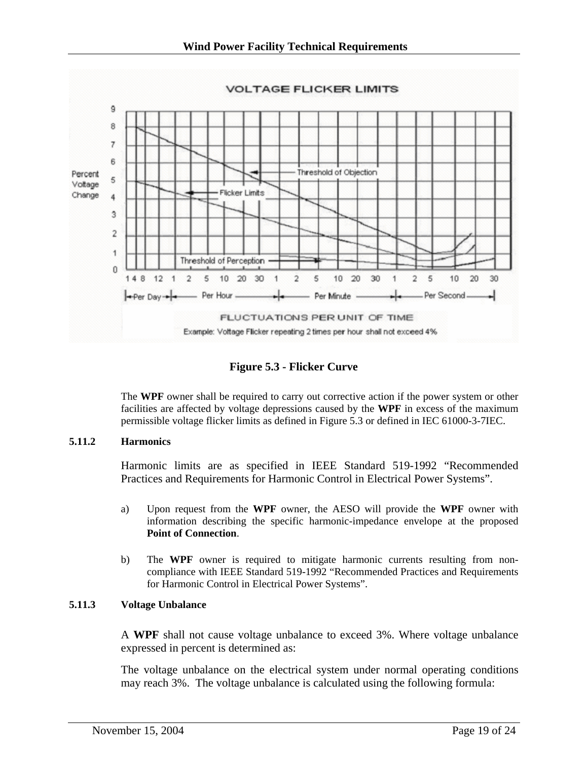<span id="page-18-0"></span>

**Figure 5.3 - Flicker Curve** 

The **WPF** owner shall be required to carry out corrective action if the power system or other facilities are affected by voltage depressions caused by the **WPF** in excess of the maximum permissible voltage flicker limits as defined in Figure 5.3 or defined in IEC 61000-3-7IEC.

#### **5.11.2 Harmonics**

Harmonic limits are as specified in IEEE Standard 519-1992 "Recommended Practices and Requirements for Harmonic Control in Electrical Power Systems".

- a) Upon request from the **WPF** owner, the AESO will provide the **WPF** owner with information describing the specific harmonic-impedance envelope at the proposed **Point of Connection**.
- b) The **WPF** owner is required to mitigate harmonic currents resulting from noncompliance with IEEE Standard 519-1992 "Recommended Practices and Requirements for Harmonic Control in Electrical Power Systems".

#### **5.11.3 Voltage Unbalance**

A **WPF** shall not cause voltage unbalance to exceed 3%. Where voltage unbalance expressed in percent is determined as:

The voltage unbalance on the electrical system under normal operating conditions may reach 3%. The voltage unbalance is calculated using the following formula: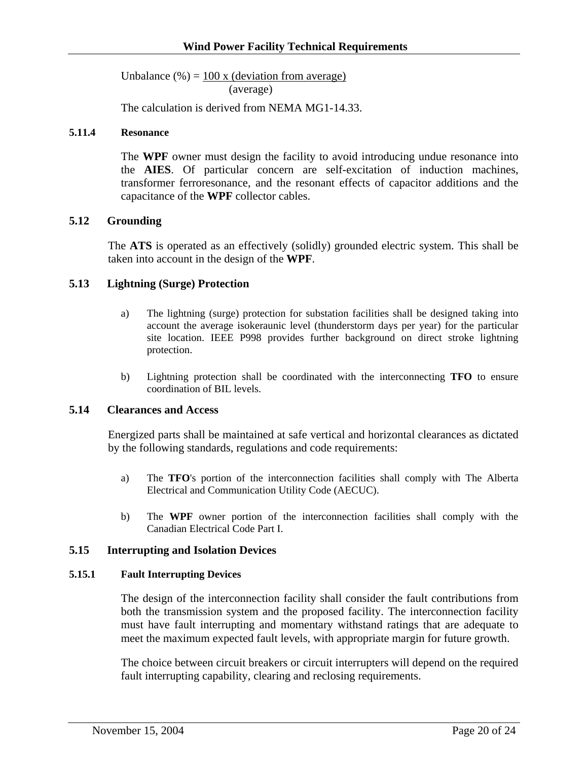<span id="page-19-0"></span>Unbalance  $% = 100 x$  (deviation from average) (average)

The calculation is derived from NEMA MG1-14.33.

#### **5.11.4 Resonance**

The **WPF** owner must design the facility to avoid introducing undue resonance into the **AIES**. Of particular concern are self-excitation of induction machines, transformer ferroresonance, and the resonant effects of capacitor additions and the capacitance of the **WPF** collector cables.

#### **5.12 Grounding**

The **ATS** is operated as an effectively (solidly) grounded electric system. This shall be taken into account in the design of the **WPF**.

#### **5.13 Lightning (Surge) Protection**

- a) The lightning (surge) protection for substation facilities shall be designed taking into account the average isokeraunic level (thunderstorm days per year) for the particular site location. IEEE P998 provides further background on direct stroke lightning protection.
- b) Lightning protection shall be coordinated with the interconnecting **TFO** to ensure coordination of BIL levels.

#### **5.14 Clearances and Access**

Energized parts shall be maintained at safe vertical and horizontal clearances as dictated by the following standards, regulations and code requirements:

- a) The **TFO**'s portion of the interconnection facilities shall comply with The Alberta Electrical and Communication Utility Code (AECUC).
- b) The **WPF** owner portion of the interconnection facilities shall comply with the Canadian Electrical Code Part I.

#### **5.15 Interrupting and Isolation Devices**

#### **5.15.1 Fault Interrupting Devices**

The design of the interconnection facility shall consider the fault contributions from both the transmission system and the proposed facility. The interconnection facility must have fault interrupting and momentary withstand ratings that are adequate to meet the maximum expected fault levels, with appropriate margin for future growth.

The choice between circuit breakers or circuit interrupters will depend on the required fault interrupting capability, clearing and reclosing requirements.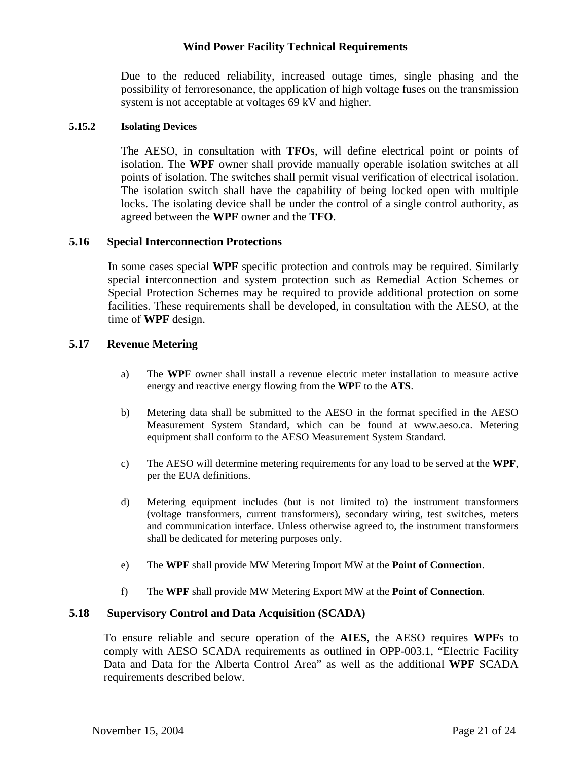Due to the reduced reliability, increased outage times, single phasing and the possibility of ferroresonance, the application of high voltage fuses on the transmission system is not acceptable at voltages 69 kV and higher.

#### <span id="page-20-0"></span>**5.15.2 Isolating Devices**

The AESO, in consultation with **TFO**s, will define electrical point or points of isolation. The **WPF** owner shall provide manually operable isolation switches at all points of isolation. The switches shall permit visual verification of electrical isolation. The isolation switch shall have the capability of being locked open with multiple locks. The isolating device shall be under the control of a single control authority, as agreed between the **WPF** owner and the **TFO**.

#### **5.16 Special Interconnection Protections**

In some cases special **WPF** specific protection and controls may be required. Similarly special interconnection and system protection such as Remedial Action Schemes or Special Protection Schemes may be required to provide additional protection on some facilities. These requirements shall be developed, in consultation with the AESO, at the time of **WPF** design.

#### **5.17 Revenue Metering**

- a) The **WPF** owner shall install a revenue electric meter installation to measure active energy and reactive energy flowing from the **WPF** to the **ATS**.
- b) Metering data shall be submitted to the AESO in the format specified in the AESO Measurement System Standard, which can be found at www.aeso.ca. Metering equipment shall conform to the AESO Measurement System Standard.
- c) The AESO will determine metering requirements for any load to be served at the **WPF**, per the EUA definitions.
- d) Metering equipment includes (but is not limited to) the instrument transformers (voltage transformers, current transformers), secondary wiring, test switches, meters and communication interface. Unless otherwise agreed to, the instrument transformers shall be dedicated for metering purposes only.
- e) The **WPF** shall provide MW Metering Import MW at the **Point of Connection**.
- f) The **WPF** shall provide MW Metering Export MW at the **Point of Connection**.

#### **5.18 Supervisory Control and Data Acquisition (SCADA)**

To ensure reliable and secure operation of the **AIES**, the AESO requires **WPF**s to comply with AESO SCADA requirements as outlined in OPP-003.1, "Electric Facility Data and Data for the Alberta Control Area" as well as the additional **WPF** SCADA requirements described below.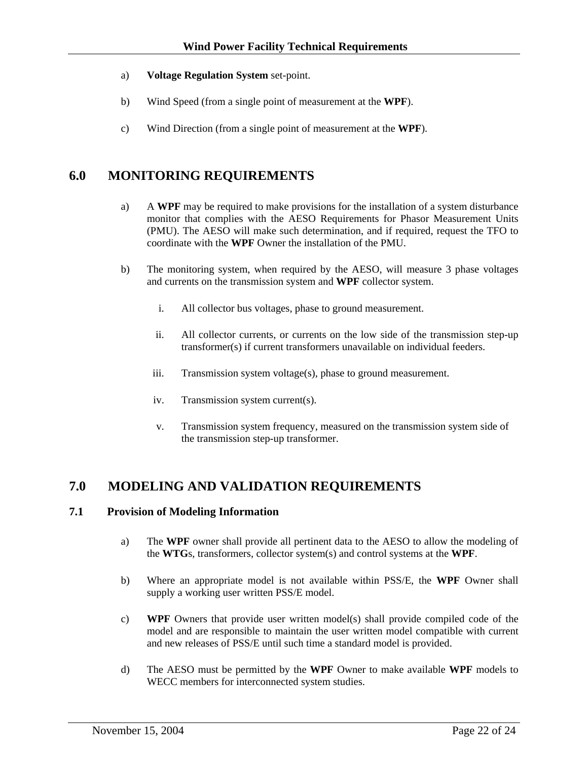- <span id="page-21-0"></span>a) **Voltage Regulation System** set-point.
- b) Wind Speed (from a single point of measurement at the **WPF**).
- c) Wind Direction (from a single point of measurement at the **WPF**).

## **6.0 MONITORING REQUIREMENTS**

- a) A **WPF** may be required to make provisions for the installation of a system disturbance monitor that complies with the AESO Requirements for Phasor Measurement Units (PMU). The AESO will make such determination, and if required, request the TFO to coordinate with the **WPF** Owner the installation of the PMU.
- b) The monitoring system, when required by the AESO, will measure 3 phase voltages and currents on the transmission system and **WPF** collector system.
	- i. All collector bus voltages, phase to ground measurement.
	- ii. All collector currents, or currents on the low side of the transmission step-up transformer(s) if current transformers unavailable on individual feeders.
	- iii. Transmission system voltage(s), phase to ground measurement.
	- iv. Transmission system current(s).
	- v. Transmission system frequency, measured on the transmission system side of the transmission step-up transformer.

## **7.0 MODELING AND VALIDATION REQUIREMENTS**

#### **7.1 Provision of Modeling Information**

- a) The **WPF** owner shall provide all pertinent data to the AESO to allow the modeling of the **WTG**s, transformers, collector system(s) and control systems at the **WPF**.
- b) Where an appropriate model is not available within PSS/E, the **WPF** Owner shall supply a working user written PSS/E model.
- c) **WPF** Owners that provide user written model(s) shall provide compiled code of the model and are responsible to maintain the user written model compatible with current and new releases of PSS/E until such time a standard model is provided.
- d) The AESO must be permitted by the **WPF** Owner to make available **WPF** models to WECC members for interconnected system studies.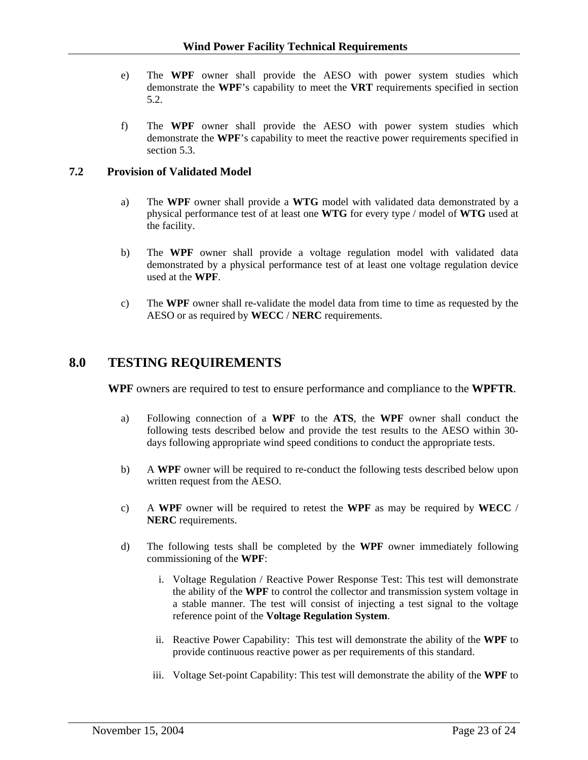- <span id="page-22-0"></span>e) The **WPF** owner shall provide the AESO with power system studies which demonstrate the **WPF**'s capability to meet the **VRT** requirements specified in section 5.2.
- f) The **WPF** owner shall provide the AESO with power system studies which demonstrate the **WPF**'s capability to meet the reactive power requirements specified in section 5.3.

#### **7.2 Provision of Validated Model**

- a) The **WPF** owner shall provide a **WTG** model with validated data demonstrated by a physical performance test of at least one **WTG** for every type / model of **WTG** used at the facility.
- b) The **WPF** owner shall provide a voltage regulation model with validated data demonstrated by a physical performance test of at least one voltage regulation device used at the **WPF**.
- c) The **WPF** owner shall re-validate the model data from time to time as requested by the AESO or as required by **WECC** / **NERC** requirements.

#### **8.0 TESTING REQUIREMENTS**

**WPF** owners are required to test to ensure performance and compliance to the **WPFTR**.

- a) Following connection of a **WPF** to the **ATS**, the **WPF** owner shall conduct the following tests described below and provide the test results to the AESO within 30 days following appropriate wind speed conditions to conduct the appropriate tests.
- b) A **WPF** owner will be required to re-conduct the following tests described below upon written request from the AESO.
- c) A **WPF** owner will be required to retest the **WPF** as may be required by **WECC** / **NERC** requirements.
- d) The following tests shall be completed by the **WPF** owner immediately following commissioning of the **WPF**:
	- i. Voltage Regulation / Reactive Power Response Test: This test will demonstrate the ability of the **WPF** to control the collector and transmission system voltage in a stable manner. The test will consist of injecting a test signal to the voltage reference point of the **Voltage Regulation System**.
	- ii. Reactive Power Capability: This test will demonstrate the ability of the **WPF** to provide continuous reactive power as per requirements of this standard.
	- iii. Voltage Set-point Capability: This test will demonstrate the ability of the **WPF** to